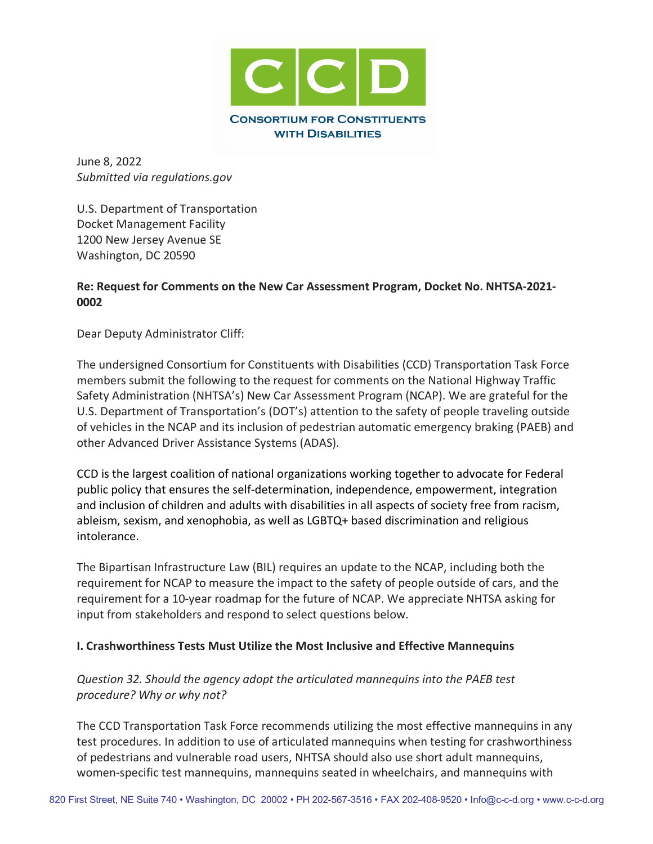

June 8, 2022 *Submitted via regulations.gov*

U.S. Department of Transportation Docket Management Facility 1200 New Jersey Avenue SE Washington, DC 20590

#### **Re: Request for Comments on the New Car Assessment Program, Docket No. NHTSA-2021- 0002**

Dear Deputy Administrator Cliff:

The undersigned Consortium for Constituents with Disabilities (CCD) Transportation Task Force members submit the following to the request for comments on the National Highway Traffic Safety Administration (NHTSA's) New Car Assessment Program (NCAP). We are grateful for the U.S. Department of Transportation's (DOT's) attention to the safety of people traveling outside of vehicles in the NCAP and its inclusion of pedestrian automatic emergency braking (PAEB) and other Advanced Driver Assistance Systems (ADAS).

CCD is the largest coalition of national organizations working together to advocate for Federal public policy that ensures the self-determination, independence, empowerment, integration and inclusion of children and adults with disabilities in all aspects of society free from racism, ableism, sexism, and xenophobia, as well as LGBTQ+ based discrimination and religious intolerance.

The Bipartisan Infrastructure Law (BIL) requires an update to the NCAP, including both the requirement for NCAP to measure the impact to the safety of people outside of cars, and the requirement for a 10-year roadmap for the future of NCAP. We appreciate NHTSA asking for input from stakeholders and respond to select questions below.

#### **I. Crashworthiness Tests Must Utilize the Most Inclusive and Effective Mannequins**

*Question 32. Should the agency adopt the articulated mannequins into the PAEB test procedure? Why or why not?*

The CCD Transportation Task Force recommends utilizing the most effective mannequins in any test procedures. In addition to use of articulated mannequins when testing for crashworthiness of pedestrians and vulnerable road users, NHTSA should also use short adult mannequins, women-specific test mannequins, mannequins seated in wheelchairs, and mannequins with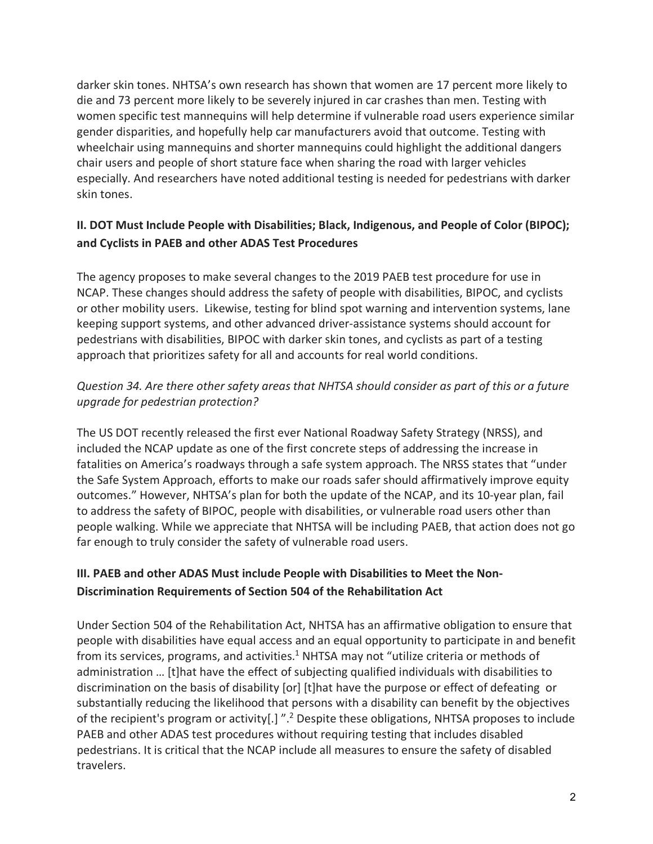darker skin tones. NHTSA's own research has shown that women are 17 percent more likely to die and 73 percent more likely to be severely injured in car crashes than men. Testing with women specific test mannequins will help determine if vulnerable road users experience similar gender disparities, and hopefully help car manufacturers avoid that outcome. Testing with wheelchair using mannequins and shorter mannequins could highlight the additional dangers chair users and people of short stature face when sharing the road with larger vehicles especially. And researchers have noted additional testing is needed for pedestrians with darker skin tones.

# **II. DOT Must Include People with Disabilities; Black, Indigenous, and People of Color (BIPOC); and Cyclists in PAEB and other ADAS Test Procedures**

The agency proposes to make several changes to the 2019 PAEB test procedure for use in NCAP. These changes should address the safety of people with disabilities, BIPOC, and cyclists or other mobility users. Likewise, testing for blind spot warning and intervention systems, lane keeping support systems, and other advanced driver-assistance systems should account for pedestrians with disabilities, BIPOC with darker skin tones, and cyclists as part of a testing approach that prioritizes safety for all and accounts for real world conditions.

## *Question 34. Are there other safety areas that NHTSA should consider as part of this or a future upgrade for pedestrian protection?*

The US DOT recently released the first ever National Roadway Safety Strategy (NRSS), and included the NCAP update as one of the first concrete steps of addressing the increase in fatalities on America's roadways through a safe system approach. The NRSS states that "under the Safe System Approach, efforts to make our roads safer should affirmatively improve equity outcomes." However, NHTSA's plan for both the update of the NCAP, and its 10-year plan, fail to address the safety of BIPOC, people with disabilities, or vulnerable road users other than people walking. While we appreciate that NHTSA will be including PAEB, that action does not go far enough to truly consider the safety of vulnerable road users.

# **III. PAEB and other ADAS Must include People with Disabilities to Meet the Non-Discrimination Requirements of Section 504 of the Rehabilitation Act**

Under Section 504 of the Rehabilitation Act, NHTSA has an affirmative obligation to ensure that people with disabilities have equal access and an equal opportunity to participate in and benefit from its services, programs, and activities.<sup>1</sup> NHTSA may not "utilize criteria or methods of administration … [t]hat have the effect of subjecting qualified individuals with disabilities to discrimination on the basis of disability [or] [t]hat have the purpose or effect of defeating or substantially reducing the likelihood that persons with a disability can benefit by the objectives of the recipient's program or activity[.] ".<sup>2</sup> Despite these obligations, NHTSA proposes to include PAEB and other ADAS test procedures without requiring testing that includes disabled pedestrians. It is critical that the NCAP include all measures to ensure the safety of disabled travelers.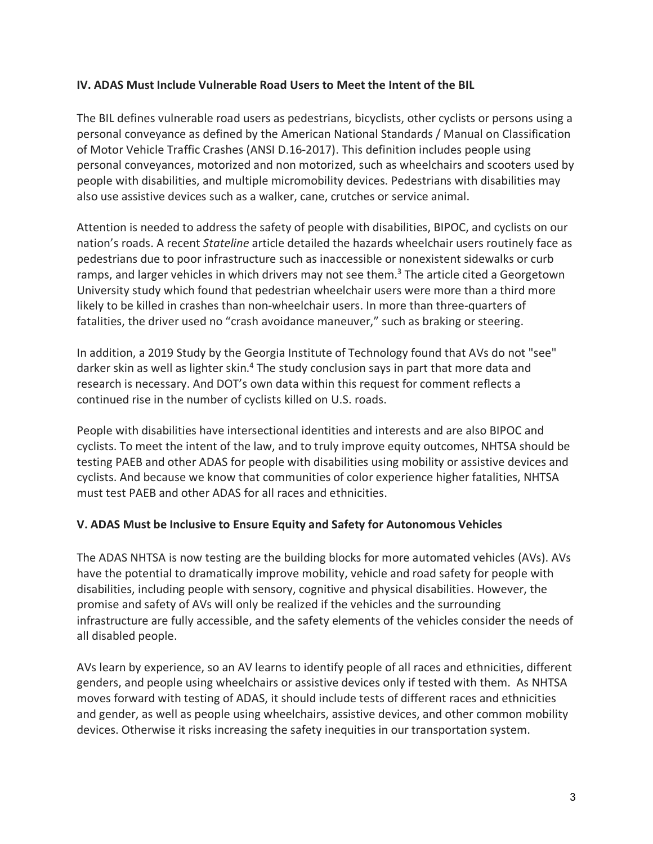### **IV. ADAS Must Include Vulnerable Road Users to Meet the Intent of the BIL**

The BIL defines vulnerable road users as pedestrians, bicyclists, other cyclists or persons using a personal conveyance as defined by the American National Standards / Manual on Classification of Motor Vehicle Traffic Crashes (ANSI D.16-2017). This definition includes people using personal conveyances, motorized and non motorized, such as wheelchairs and scooters used by people with disabilities, and multiple micromobility devices. Pedestrians with disabilities may also use assistive devices such as a walker, cane, crutches or service animal.

Attention is needed to address the safety of people with disabilities, BIPOC, and cyclists on our nation's roads. A recent *Stateline* article detailed the hazards wheelchair users routinely face as pedestrians due to poor infrastructure such as inaccessible or nonexistent sidewalks or curb ramps, and larger vehicles in which drivers may not see them.<sup>3</sup> The article cited a Georgetown University study which found that pedestrian wheelchair users were more than a third more likely to be killed in crashes than non-wheelchair users. In more than three-quarters of fatalities, the driver used no "crash avoidance maneuver," such as braking or steering.

In addition, a 2019 Study by the Georgia Institute of Technology found that AVs do not "see" darker skin as well as lighter skin.<sup>4</sup> The study conclusion says in part that more data and research is necessary. And DOT's own data within this request for comment reflects a continued rise in the number of cyclists killed on U.S. roads.

People with disabilities have intersectional identities and interests and are also BIPOC and cyclists. To meet the intent of the law, and to truly improve equity outcomes, NHTSA should be testing PAEB and other ADAS for people with disabilities using mobility or assistive devices and cyclists. And because we know that communities of color experience higher fatalities, NHTSA must test PAEB and other ADAS for all races and ethnicities.

### **V. ADAS Must be Inclusive to Ensure Equity and Safety for Autonomous Vehicles**

The ADAS NHTSA is now testing are the building blocks for more automated vehicles (AVs). AVs have the potential to dramatically improve mobility, vehicle and road safety for people with disabilities, including people with sensory, cognitive and physical disabilities. However, the promise and safety of AVs will only be realized if the vehicles and the surrounding infrastructure are fully accessible, and the safety elements of the vehicles consider the needs of all disabled people.

AVs learn by experience, so an AV learns to identify people of all races and ethnicities, different genders, and people using wheelchairs or assistive devices only if tested with them. As NHTSA moves forward with testing of ADAS, it should include tests of different races and ethnicities and gender, as well as people using wheelchairs, assistive devices, and other common mobility devices. Otherwise it risks increasing the safety inequities in our transportation system.